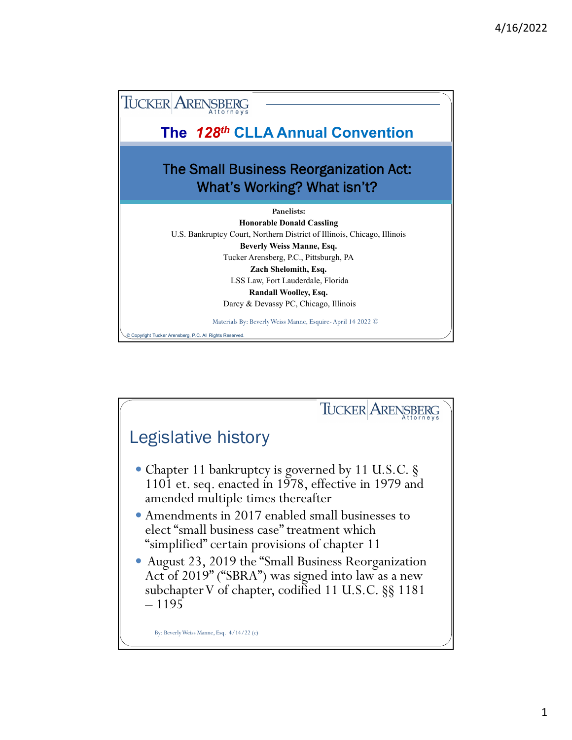

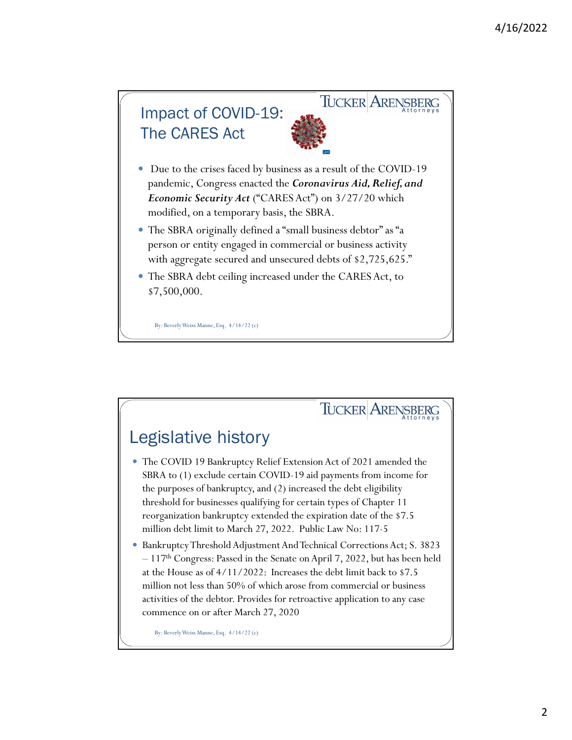

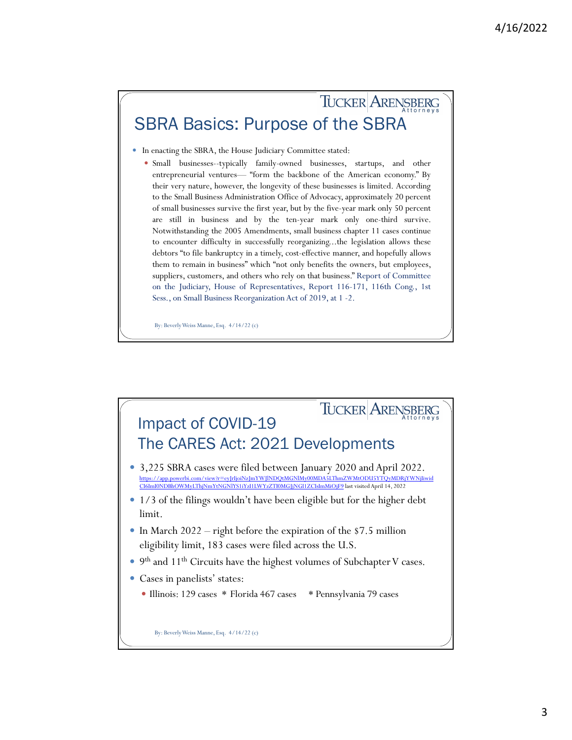## TUCKER ARENSBERG SBRA Basics: Purpose of the SBRA

- In enacting the SBRA, the House Judiciary Committee stated:
	- Small businesses--typically family-owned businesses, startups, and other entrepreneurial ventures— "form the backbone of the American economy." By their very nature, however, the longevity of these businesses is limited. According to the Small Business Administration Office of Advocacy, approximately 20 percent of small businesses survive the first year, but by the five-year mark only 50 percent are still in business and by the ten-year mark only one-third survive. Notwithstanding the 2005 Amendments, small business chapter 11 cases continue to encounter difficulty in successfully reorganizing...the legislation allows these debtors "to file bankruptcy in a timely, cost-effective manner, and hopefully allows them to remain in business" which "not only benefits the owners, but employees, suppliers, customers, and others who rely on that business." Report of Committee on the Judiciary, House of Representatives, Report 116-171, 116th Cong., 1st Sess., on Small Business Reorganization Act of 2019, at 1 -2.

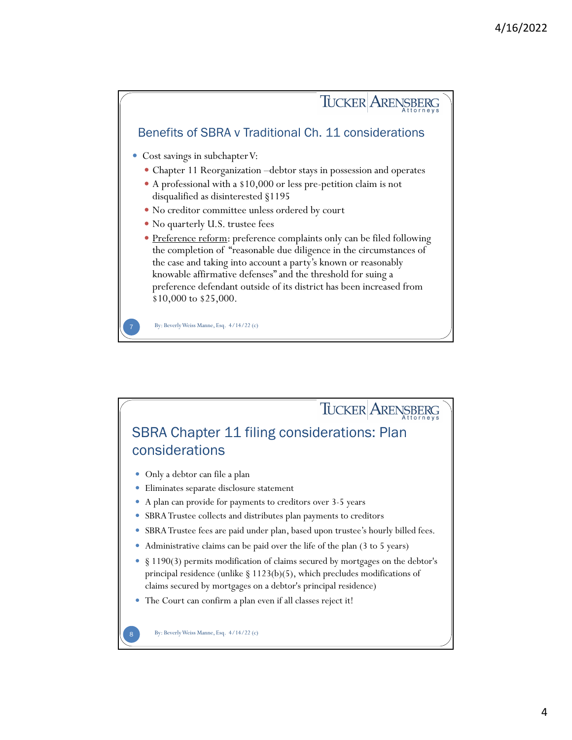

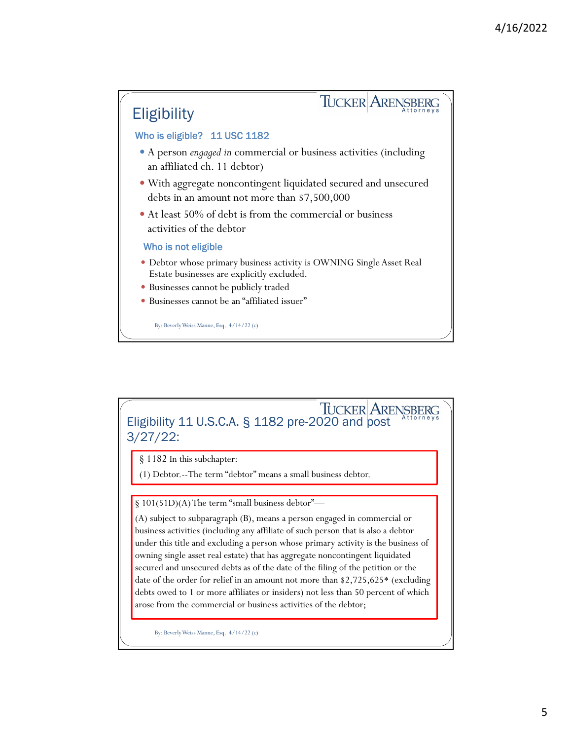

# Eligibility 11 U.S.C.A. § 1182 pre-2020 and post 3/27/22:

§ 1182 In this subchapter:

(1) Debtor.--The term "debtor" means a small business debtor.

§ 101(51D)(A) The term "small business debtor"—

(A) subject to subparagraph (B), means a person engaged in commercial or business activities (including any affiliate of such person that is also a debtor under this title and excluding a person whose primary activity is the business of owning single asset real estate) that has aggregate noncontingent liquidated secured and unsecured debts as of the date of the filing of the petition or the date of the order for relief in an amount not more than \$2,725,625\* (excluding debts owed to 1 or more affiliates or insiders) not less than 50 percent of which arose from the commercial or business activities of the debtor;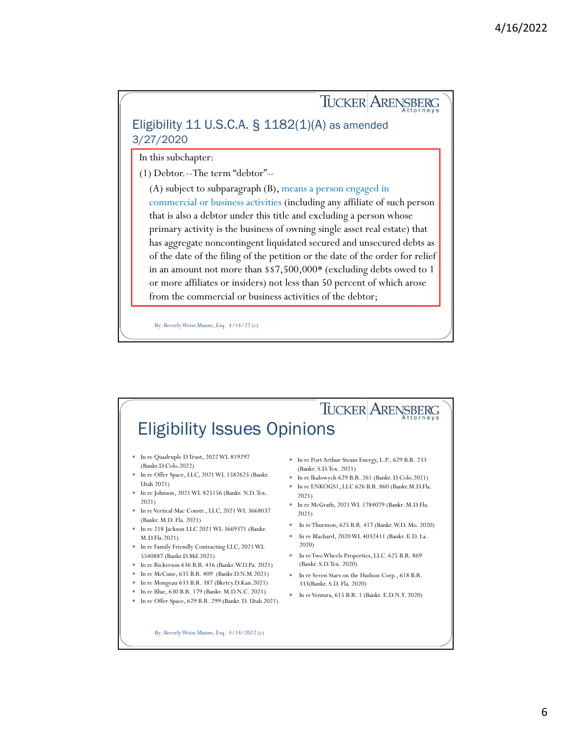## TUCKER ARENSBERG Eligibility 11 U.S.C.A. § 1182(1)(A) as amended 3/27/2020

In this subchapter:

(1) Debtor.--The term "debtor"--

(A) subject to subparagraph (B), means a person engaged in commercial or business activities (including any affiliate of such person that is also a debtor under this title and excluding a person whose primary activity is the business of owning single asset real estate) that has aggregate noncontingent liquidated secured and unsecured debts as of the date of the filing of the petition or the date of the order for relief in an amount not more than \$\$7,500,000\* (excluding debts owed to 1 or more affiliates or insiders) not less than 50 percent of which arose from the commercial or business activities of the debtor;

By: Beverly Weiss Manne, Esq.  $4/14/22$  (c)

#### TUCKER ARENSBERG By: Beverly Weiss Manne, Esq.  $4/14/2022$  (c) In re Quadruple D Trust, 2022 WL 819297 (Bankr.D.Colo.2022) In re Offer Space, LLC, 2021 WL 1582625 (Bankr. Utah 2021) In re Johnson, 2021 WL 825156 (Bankr. N.D. Tex. 2021) In re Vertical Mac Constr., LLC, 2021 WL 3668037 (Bankr. M.D. Fla. 2021) In re 218 Jackson LLC 2021 WL 3669371 (Bankr. M.D.Fla.2021) In re Family Friendly Contracting LLC, 2021 WL 5540887 (Bankr.D.Md.2021) In re Rickerson 636 B.R. 416 (Bankr. W.D.Pa. 2021) • In re McCune, 635 B.R. 409 (Bankr.D.N.M.2021) In re Mongeau 633 B.R. 387 (Bkrtcy.D.Kan.2021) In re Blue, 630 B.R. 179 (Bankr. M.D.N.C. 2021) In re Offer Space, 629 B.R. 299 (Bankr. D. Utah 2021) In re Port Arthur Steam Energy, L.P., 629 B.R. 233 (Bankr. S.D.Tex. 2021) In re Ikalowych 629 B.R. 261 (Bankr. D.Colo.2021) In re ENKOGS1, LLC 626 B.R. 860 (Bankr.M.D.Fla. 2021) In re McGrath, 2021 WL 1784079 (Bankr. M.D.Fla. 2021) In re Thurmon, 625 B.R. 417 (Bankr. W.D. Mo. 2020) In re Blachard, 2020 WL 4032411 (Bankr. E.D. La. 2020) In re Two Wheels Properties, LLC. 625 B.R. 869 (Bankr. S.D.Tex. 2020) In re Seven Stars on the Hudson Corp., 618 B.R. 333(Bankr. S.D. Fla. 2020) In re Ventura, 615 B.R. 1 (Bankr. E.D.N.Y. 2020)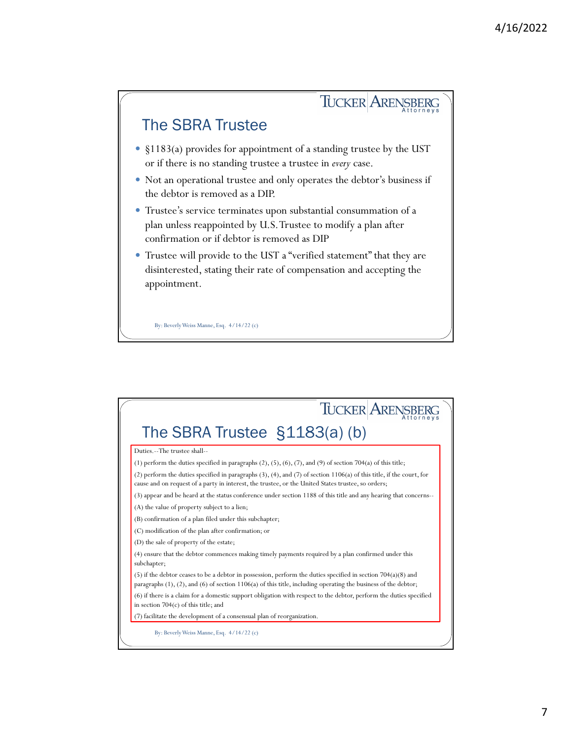

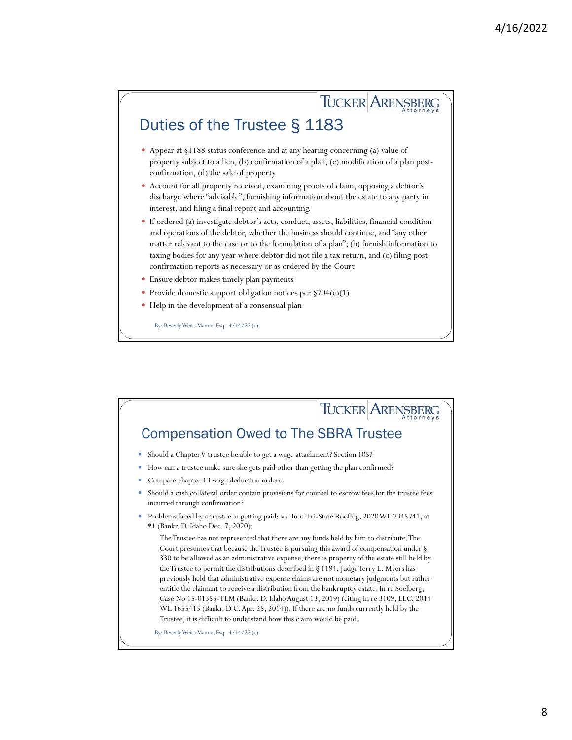# Duties of the Trustee § 1183

 Appear at §1188 status conference and at any hearing concerning (a) value of property subject to a lien, (b) confirmation of a plan, (c) modification of a plan postconfirmation, (d) the sale of property

TUCKER ARENSBERG

- Account for all property received, examining proofs of claim, opposing a debtor's discharge where "advisable", furnishing information about the estate to any party in interest, and filing a final report and accounting.
- If ordered (a) investigate debtor's acts, conduct, assets, liabilities, financial condition and operations of the debtor, whether the business should continue, and "any other matter relevant to the case or to the formulation of a plan"; (b) furnish information to taxing bodies for any year where debtor did not file a tax return, and (c) filing postconfirmation reports as necessary or as ordered by the Court
- Ensure debtor makes timely plan payments
- Provide domestic support obligation notices per §704(c)(1)
- Help in the development of a consensual plan

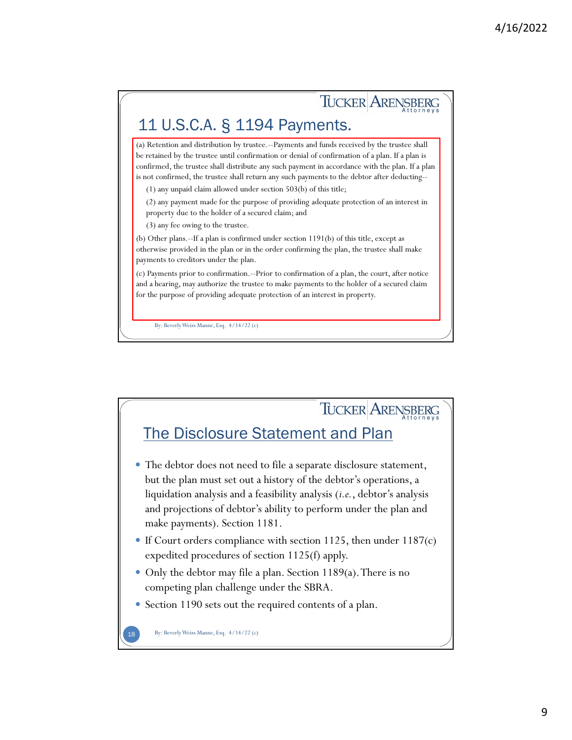### TUCKER ARENSBERG 11 U.S.C.A. § 1194 Payments. (a) Retention and distribution by trustee.--Payments and funds received by the trustee shall be retained by the trustee until confirmation or denial of confirmation of a plan. If a plan is confirmed, the trustee shall distribute any such payment in accordance with the plan. If a plan is not confirmed, the trustee shall return any such payments to the debtor after deducting-- (1) any unpaid claim allowed under section 503(b) of this title; (2) any payment made for the purpose of providing adequate protection of an interest in property due to the holder of a secured claim; and (3) any fee owing to the trustee. (b) Other plans.--If a plan is confirmed under section 1191(b) of this title, except as otherwise provided in the plan or in the order confirming the plan, the trustee shall make payments to creditors under the plan. (c) Payments prior to confirmation.--Prior to confirmation of a plan, the court, after notice and a hearing, may authorize the trustee to make payments to the holder of a secured claim for the purpose of providing adequate protection of an interest in property. By: Beverly Weiss Manne, Esq.  $4/14/22$  (c)

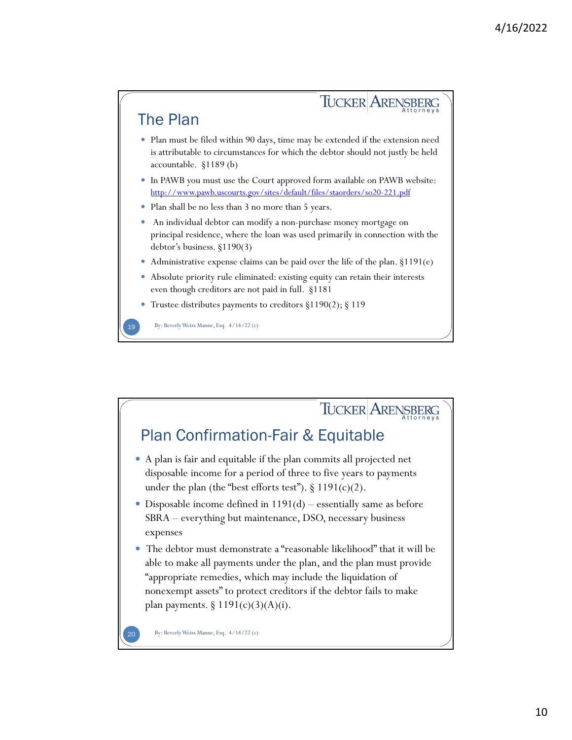

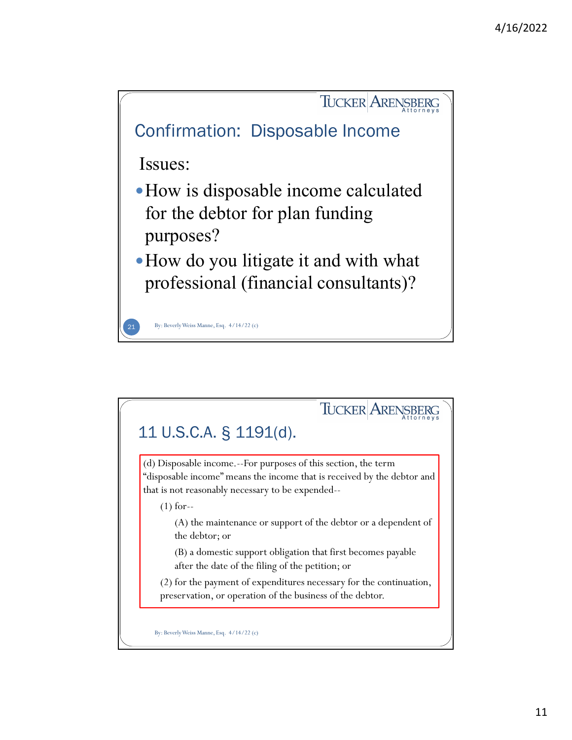